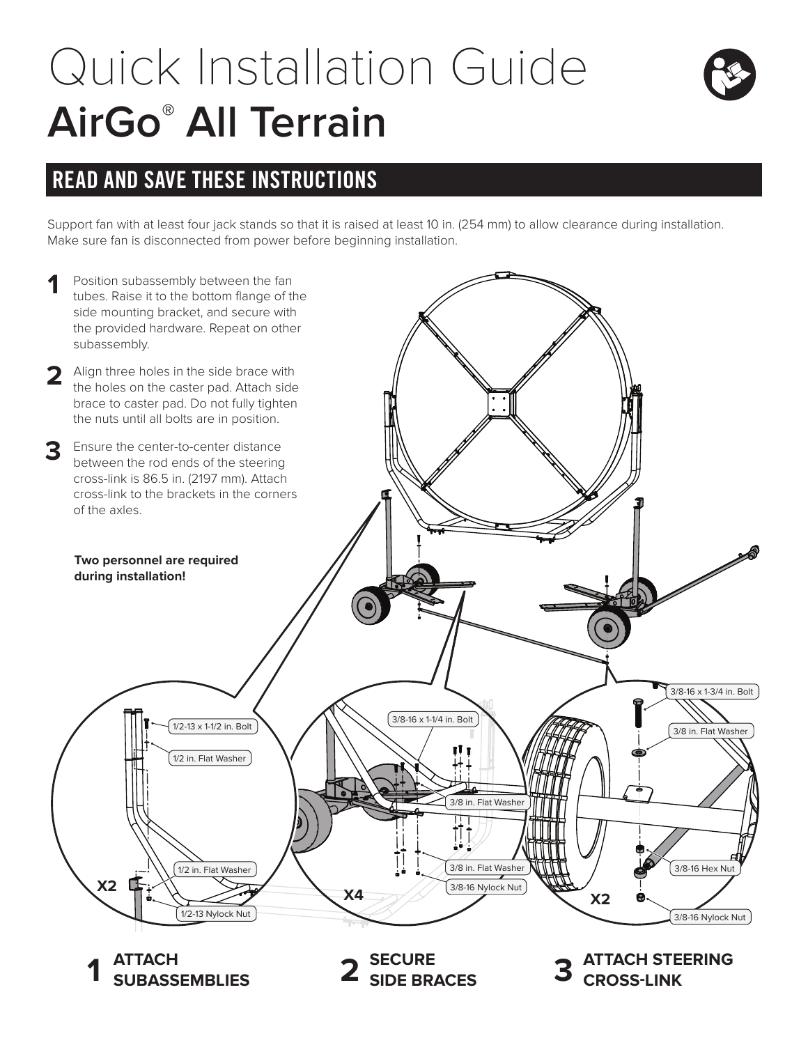## Quick Installation Guide **AirGo® All Terrain**



## READ AND SAVE THESE INSTRUCTIONS

Support fan with at least four jack stands so that it is raised at least 10 in. (254 mm) to allow clearance during installation. Make sure fan is disconnected from power before beginning installation.



**ATTACH SUBASSEMBLIES SECURE 1 2 SIDE BRACES**

**ATTACH STEERING 3 CROSS-LINK**